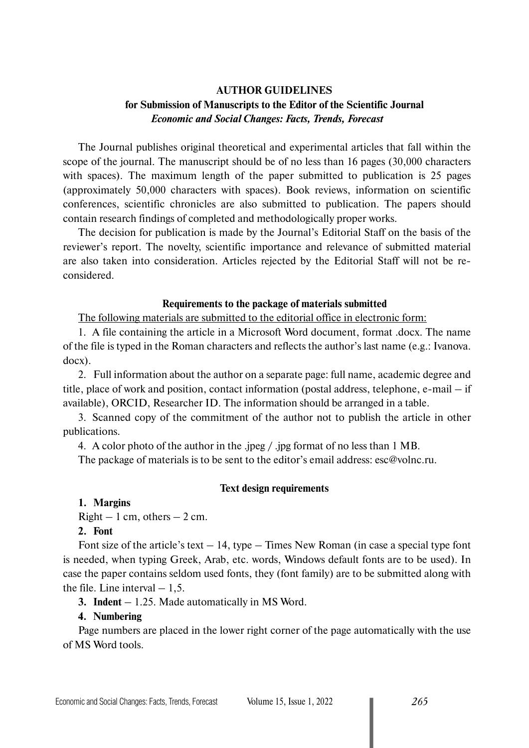# **AUTHOR GUIDELINES for Submission of Manuscripts to the Editor of the Scientific Journal**  *Economic and Social Changes: Facts, Trends, Forecast*

The Journal publishes original theoretical and experimental articles that fall within the scope of the journal. The manuscript should be of no less than 16 pages (30,000 characters with spaces). The maximum length of the paper submitted to publication is 25 pages (approximately 50,000 characters with spaces). Book reviews, information on scientific conferences, scientific chronicles are also submitted to publication. The papers should contain research findings of completed and methodologically proper works.

The decision for publication is made by the Journal's Editorial Staff on the basis of the reviewer's report. The novelty, scientific importance and relevance of submitted material are also taken into consideration. Articles rejected by the Editorial Staff will not be reconsidered.

### **Requirements to the package of materials submitted**

The following materials are submitted to the editorial office in electronic form:

1. A file containing the article in a Microsoft Word document, format .docx. The name of the file is typed in the Roman characters and reflects the author's last name (e.g.: Ivanova. docx).

2. Full information about the author on a separate page: full name, academic degree and title, place of work and position, contact information (postal address, telephone, e-mail – if available), ORCID, Researcher ID. The information should be arranged in a table.

3. Scanned copy of the commitment of the author not to publish the article in other publications.

4. A color photo of the author in the .jpeg / .jpg format of no less than 1 MB.

The package of materials is to be sent to the editor's email address: esc@volnc.ru.

#### **Text design requirements**

**1. Margins**

 $Right - 1$  cm, others  $- 2$  cm.

### **2. Font**

Font size of the article's text  $-14$ , type  $-$  Times New Roman (in case a special type font is needed, when typing Greek, Arab, etc. words, Windows default fonts are to be used). In case the paper contains seldom used fonts, they (font family) are to be submitted along with the file. Line interval  $-1,5$ .

**3. Indent** – 1.25. Made automatically in MS Word.

### **4. Numbering**

Page numbers are placed in the lower right corner of the page automatically with the use of MS Word tools.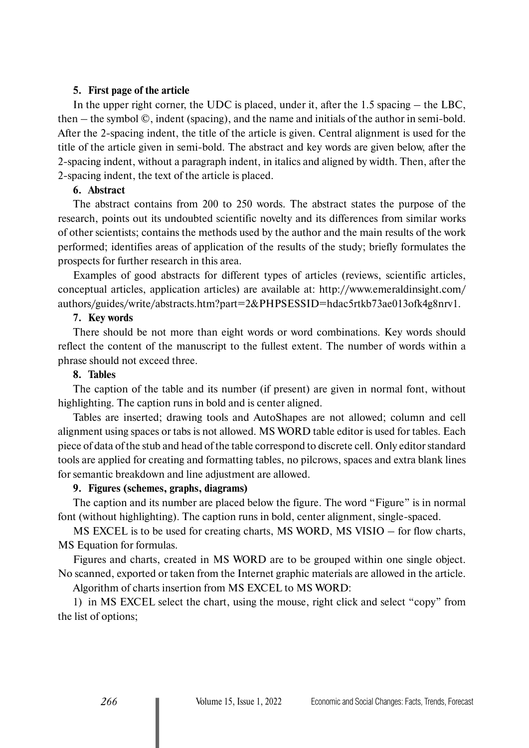### **5. First page of the article**

In the upper right corner, the UDC is placed, under it, after the 1.5 spacing – the LBC, then – the symbol ©, indent (spacing), and the name and initials of the author in semi-bold. After the 2-spacing indent, the title of the article is given. Central alignment is used for the title of the article given in semi-bold. The abstract and key words are given below, after the 2-spacing indent, without a paragraph indent, in italics and aligned by width. Then, after the 2-spacing indent, the text of the article is placed.

# **6. Abstract**

The abstract contains from 200 to 250 words. The abstract states the purpose of the research, points out its undoubted scientific novelty and its differences from similar works of other scientists; contains the methods used by the author and the main results of the work performed; identifies areas of application of the results of the study; briefly formulates the prospects for further research in this area.

Examples of good abstracts for different types of articles (reviews, scientific articles, conceptual articles, application articles) are available at: http://www.emeraldinsight.com/ authors/guides/write/abstracts.htm?part=2&PHPSESSID=hdac5rtkb73ae013ofk4g8nrv1.

#### **7. Key words**

There should be not more than eight words or word combinations. Key words should reflect the content of the manuscript to the fullest extent. The number of words within a phrase should not exceed three.

### **8. Tables**

The caption of the table and its number (if present) are given in normal font, without highlighting. The caption runs in bold and is center aligned.

Tables are inserted; drawing tools and AutoShapes are not allowed; column and cell alignment using spaces or tabs is not allowed. MS WORD table editor is used for tables. Each piece of data of the stub and head of the table correspond to discrete cell. Only editor standard tools are applied for creating and formatting tables, no pilcrows, spaces and extra blank lines for semantic breakdown and line adjustment are allowed.

### **9. Figures (schemes, graphs, diagrams)**

The caption and its number are placed below the figure. The word "Figure" is in normal font (without highlighting). The caption runs in bold, center alignment, single-spaced.

MS EXCEL is to be used for creating charts, MS WORD, MS VISIO – for flow charts, MS Equation for formulas.

Figures and charts, created in MS WORD are to be grouped within one single object. No scanned, exported or taken from the Internet graphic materials are allowed in the article.

Algorithm of charts insertion from MS EXCEL to MS WORD:

1) in MS EXCEL select the chart, using the mouse, right click and select "copy" from the list of options;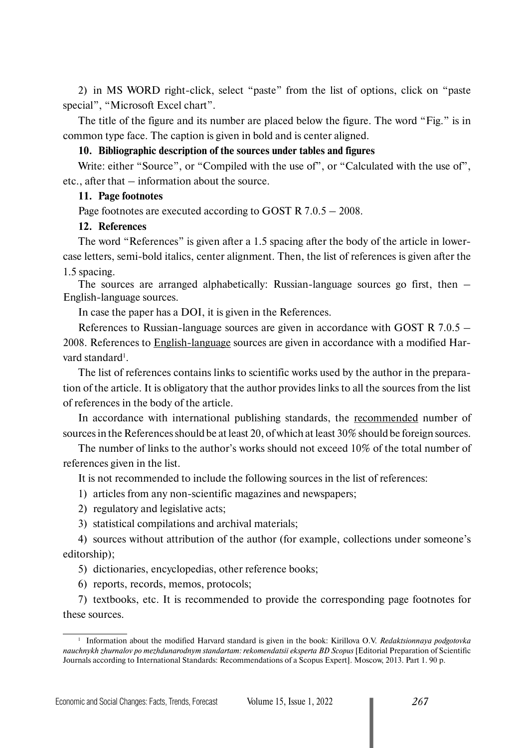2) in MS WORD right-click, select "paste" from the list of options, click on "paste special", "Microsoft Excel chart".

The title of the figure and its number are placed below the figure. The word "Fig." is in common type face. The caption is given in bold and is center aligned.

# **10. Bibliographic description of the sources under tables and figures**

Write: either "Source", or "Compiled with the use of", or "Calculated with the use of", etc., after that – information about the source.

# **11. Page footnotes**

Page footnotes are executed according to GOST R 7.0.5 – 2008.

# **12. References**

The word "References" is given after a 1.5 spacing after the body of the article in lowercase letters, semi-bold italics, center alignment. Then, the list of references is given after the 1.5 spacing.

The sources are arranged alphabetically: Russian-language sources go first, then – English-language sources.

In case the paper has a DOI, it is given in the References.

References to Russian-language sources are given in accordance with GOST R 7.0.5 – 2008. References to English-language sources are given in accordance with a modified Harvard standard<sup>1</sup>.

The list of references contains links to scientific works used by the author in the preparation of the article. It is obligatory that the author provides links to all the sources from the list of references in the body of the article.

In accordance with international publishing standards, the recommended number of sources in the References should be at least 20, of which at least 30% should be foreign sources.

The number of links to the author's works should not exceed 10% of the total number of references given in the list.

It is not recommended to include the following sources in the list of references:

- 1) articles from any non-scientific magazines and newspapers;
- 2) regulatory and legislative acts;
- 3) statistical compilations and archival materials;

4) sources without attribution of the author (for example, collections under someone's editorship);

5) dictionaries, encyclopedias, other reference books;

6) reports, records, memos, protocols;

7) textbooks, etc. It is recommended to provide the corresponding page footnotes for these sources.

<sup>1</sup> Information about the modified Harvard standard is given in the book: Kirillova O.V. *Redaktsionnaya podgotovka nauchnykh zhurnalov po mezhdunarodnym standartam: rekomendatsii eksperta BD Scopus* [Editorial Preparation of Scientific Journals according to International Standards: Recommendations of a Scopus Expert]. Moscow, 2013. Part 1. 90 p.